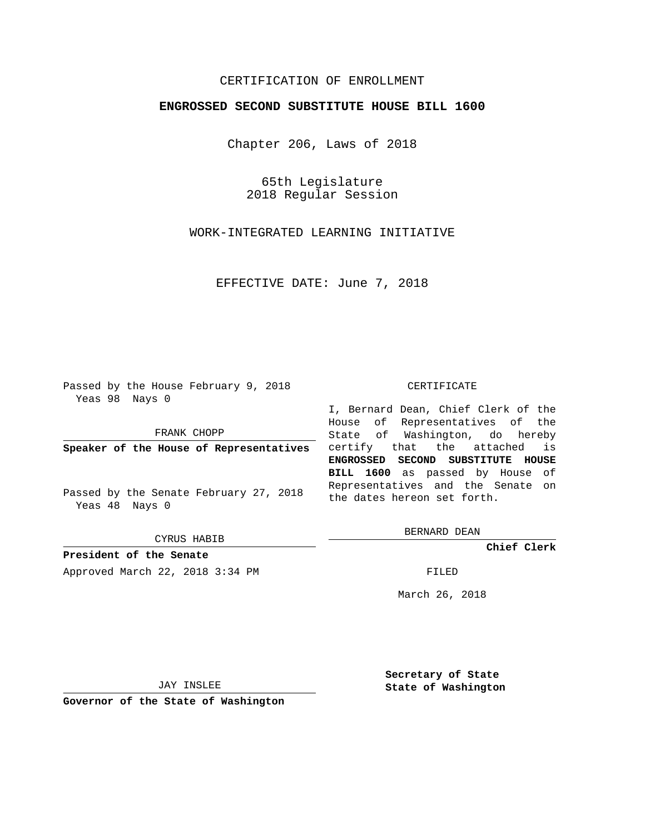## CERTIFICATION OF ENROLLMENT

## **ENGROSSED SECOND SUBSTITUTE HOUSE BILL 1600**

Chapter 206, Laws of 2018

65th Legislature 2018 Regular Session

WORK-INTEGRATED LEARNING INITIATIVE

EFFECTIVE DATE: June 7, 2018

Passed by the House February 9, 2018 Yeas 98 Nays 0

FRANK CHOPP

**Speaker of the House of Representatives**

Passed by the Senate February 27, 2018 Yeas 48 Nays 0

CYRUS HABIB

**President of the Senate**

Approved March 22, 2018 3:34 PM FILED

## CERTIFICATE

I, Bernard Dean, Chief Clerk of the House of Representatives of the State of Washington, do hereby certify that the attached is **ENGROSSED SECOND SUBSTITUTE HOUSE BILL 1600** as passed by House of Representatives and the Senate on the dates hereon set forth.

BERNARD DEAN

**Chief Clerk**

March 26, 2018

JAY INSLEE

**Governor of the State of Washington**

**Secretary of State State of Washington**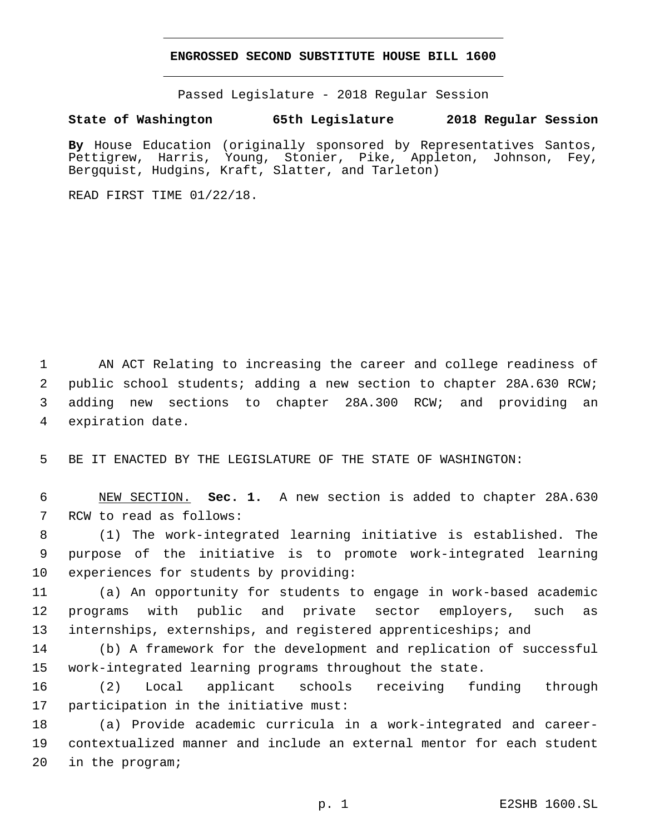## **ENGROSSED SECOND SUBSTITUTE HOUSE BILL 1600**

Passed Legislature - 2018 Regular Session

**State of Washington 65th Legislature 2018 Regular Session**

**By** House Education (originally sponsored by Representatives Santos, Pettigrew, Harris, Young, Stonier, Pike, Appleton, Johnson, Fey, Bergquist, Hudgins, Kraft, Slatter, and Tarleton)

READ FIRST TIME 01/22/18.

 AN ACT Relating to increasing the career and college readiness of public school students; adding a new section to chapter 28A.630 RCW; adding new sections to chapter 28A.300 RCW; and providing an 4 expiration date.

5 BE IT ENACTED BY THE LEGISLATURE OF THE STATE OF WASHINGTON:

6 NEW SECTION. **Sec. 1.** A new section is added to chapter 28A.630 7 RCW to read as follows:

8 (1) The work-integrated learning initiative is established. The 9 purpose of the initiative is to promote work-integrated learning 10 experiences for students by providing:

11 (a) An opportunity for students to engage in work-based academic 12 programs with public and private sector employers, such as 13 internships, externships, and registered apprenticeships; and

14 (b) A framework for the development and replication of successful 15 work-integrated learning programs throughout the state.

16 (2) Local applicant schools receiving funding through 17 participation in the initiative must:

18 (a) Provide academic curricula in a work-integrated and career-19 contextualized manner and include an external mentor for each student 20 in the program;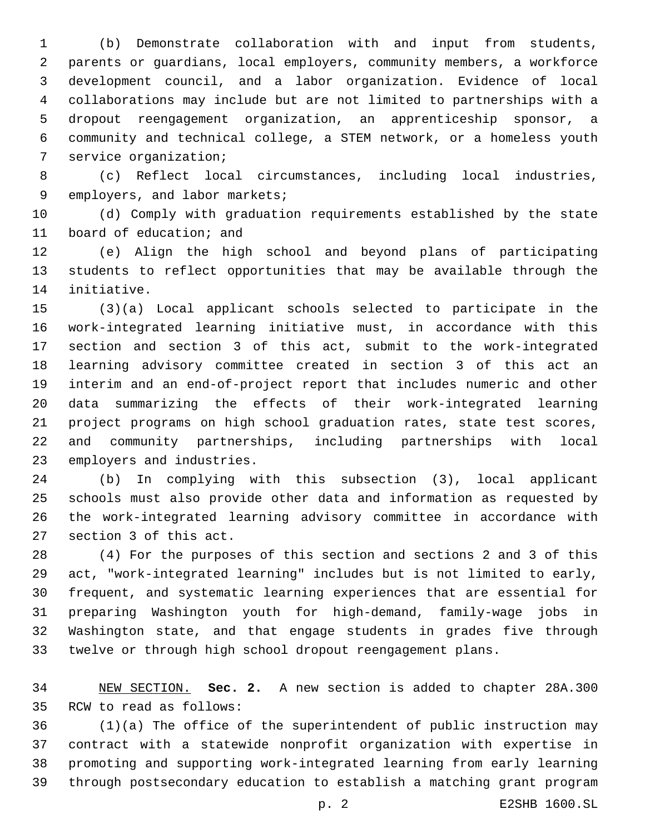(b) Demonstrate collaboration with and input from students, parents or guardians, local employers, community members, a workforce development council, and a labor organization. Evidence of local collaborations may include but are not limited to partnerships with a dropout reengagement organization, an apprenticeship sponsor, a community and technical college, a STEM network, or a homeless youth 7 service organization;

 (c) Reflect local circumstances, including local industries, 9 employers, and labor markets;

 (d) Comply with graduation requirements established by the state 11 board of education; and

 (e) Align the high school and beyond plans of participating students to reflect opportunities that may be available through the 14 initiative.

 (3)(a) Local applicant schools selected to participate in the work-integrated learning initiative must, in accordance with this section and section 3 of this act, submit to the work-integrated learning advisory committee created in section 3 of this act an interim and an end-of-project report that includes numeric and other data summarizing the effects of their work-integrated learning project programs on high school graduation rates, state test scores, and community partnerships, including partnerships with local 23 employers and industries.

 (b) In complying with this subsection (3), local applicant schools must also provide other data and information as requested by the work-integrated learning advisory committee in accordance with 27 section 3 of this act.

 (4) For the purposes of this section and sections 2 and 3 of this act, "work-integrated learning" includes but is not limited to early, frequent, and systematic learning experiences that are essential for preparing Washington youth for high-demand, family-wage jobs in Washington state, and that engage students in grades five through twelve or through high school dropout reengagement plans.

 NEW SECTION. **Sec. 2.** A new section is added to chapter 28A.300 35 RCW to read as follows:

 (1)(a) The office of the superintendent of public instruction may contract with a statewide nonprofit organization with expertise in promoting and supporting work-integrated learning from early learning through postsecondary education to establish a matching grant program

p. 2 E2SHB 1600.SL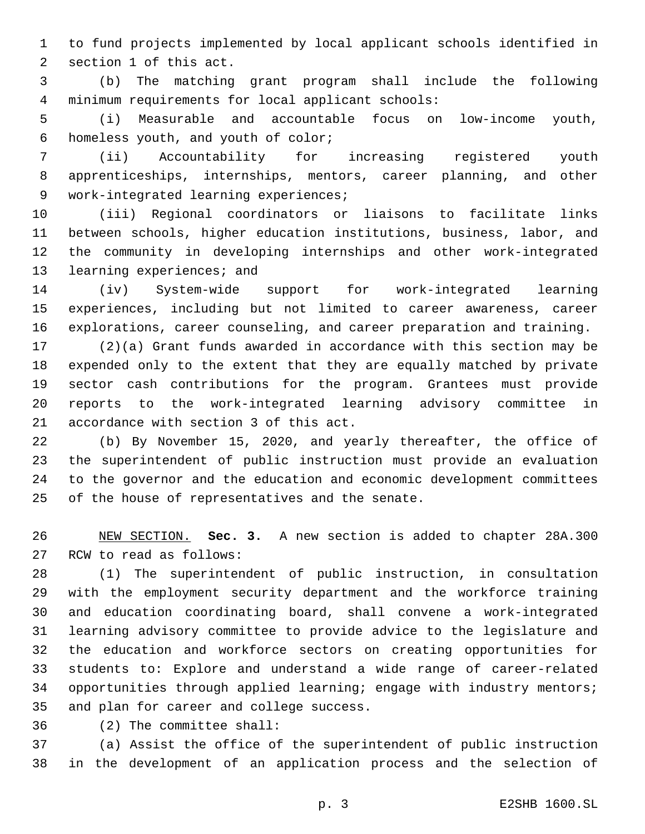to fund projects implemented by local applicant schools identified in 2 section 1 of this act.

 (b) The matching grant program shall include the following minimum requirements for local applicant schools:4

 (i) Measurable and accountable focus on low-income youth, 6 homeless youth, and youth of color;

 (ii) Accountability for increasing registered youth apprenticeships, internships, mentors, career planning, and other 9 work-integrated learning experiences;

 (iii) Regional coordinators or liaisons to facilitate links between schools, higher education institutions, business, labor, and the community in developing internships and other work-integrated 13 learning experiences; and

 (iv) System-wide support for work-integrated learning experiences, including but not limited to career awareness, career explorations, career counseling, and career preparation and training.

 (2)(a) Grant funds awarded in accordance with this section may be expended only to the extent that they are equally matched by private sector cash contributions for the program. Grantees must provide reports to the work-integrated learning advisory committee in 21 accordance with section 3 of this act.

 (b) By November 15, 2020, and yearly thereafter, the office of the superintendent of public instruction must provide an evaluation to the governor and the education and economic development committees 25 of the house of representatives and the senate.

 NEW SECTION. **Sec. 3.** A new section is added to chapter 28A.300 27 RCW to read as follows:

 (1) The superintendent of public instruction, in consultation with the employment security department and the workforce training and education coordinating board, shall convene a work-integrated learning advisory committee to provide advice to the legislature and the education and workforce sectors on creating opportunities for students to: Explore and understand a wide range of career-related opportunities through applied learning; engage with industry mentors; 35 and plan for career and college success.

(2) The committee shall:36

 (a) Assist the office of the superintendent of public instruction in the development of an application process and the selection of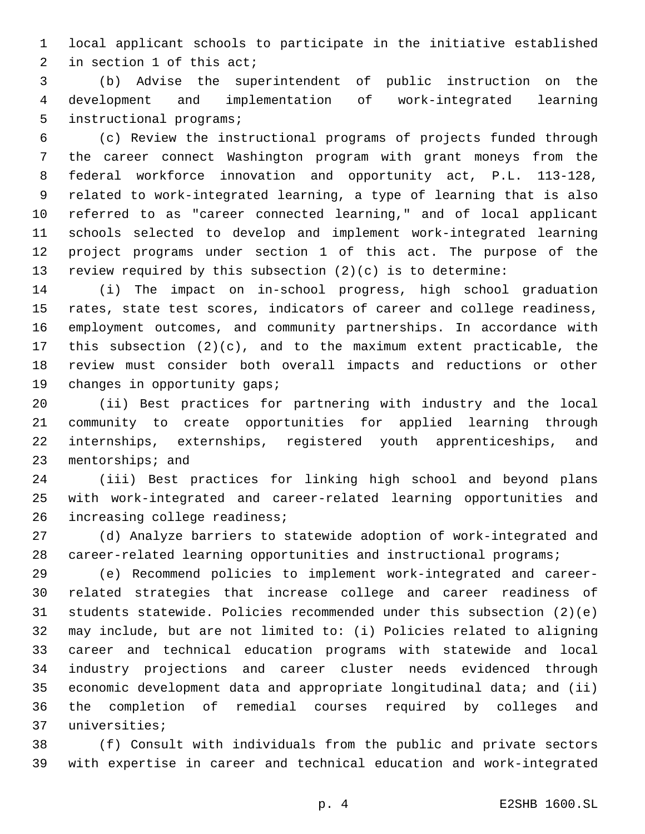local applicant schools to participate in the initiative established 2 in section of this act;

 (b) Advise the superintendent of public instruction on the development and implementation of work-integrated learning 5 instructional programs;

 (c) Review the instructional programs of projects funded through the career connect Washington program with grant moneys from the federal workforce innovation and opportunity act, P.L. 113-128, related to work-integrated learning, a type of learning that is also referred to as "career connected learning," and of local applicant schools selected to develop and implement work-integrated learning project programs under section 1 of this act. The purpose of the review required by this subsection (2)(c) is to determine:

 (i) The impact on in-school progress, high school graduation rates, state test scores, indicators of career and college readiness, employment outcomes, and community partnerships. In accordance with this subsection (2)(c), and to the maximum extent practicable, the review must consider both overall impacts and reductions or other 19 changes in opportunity gaps;

 (ii) Best practices for partnering with industry and the local community to create opportunities for applied learning through internships, externships, registered youth apprenticeships, and 23 mentorships; and

 (iii) Best practices for linking high school and beyond plans with work-integrated and career-related learning opportunities and 26 increasing college readiness;

 (d) Analyze barriers to statewide adoption of work-integrated and career-related learning opportunities and instructional programs;

 (e) Recommend policies to implement work-integrated and career- related strategies that increase college and career readiness of students statewide. Policies recommended under this subsection (2)(e) may include, but are not limited to: (i) Policies related to aligning career and technical education programs with statewide and local industry projections and career cluster needs evidenced through economic development data and appropriate longitudinal data; and (ii) the completion of remedial courses required by colleges and 37 universities;

 (f) Consult with individuals from the public and private sectors with expertise in career and technical education and work-integrated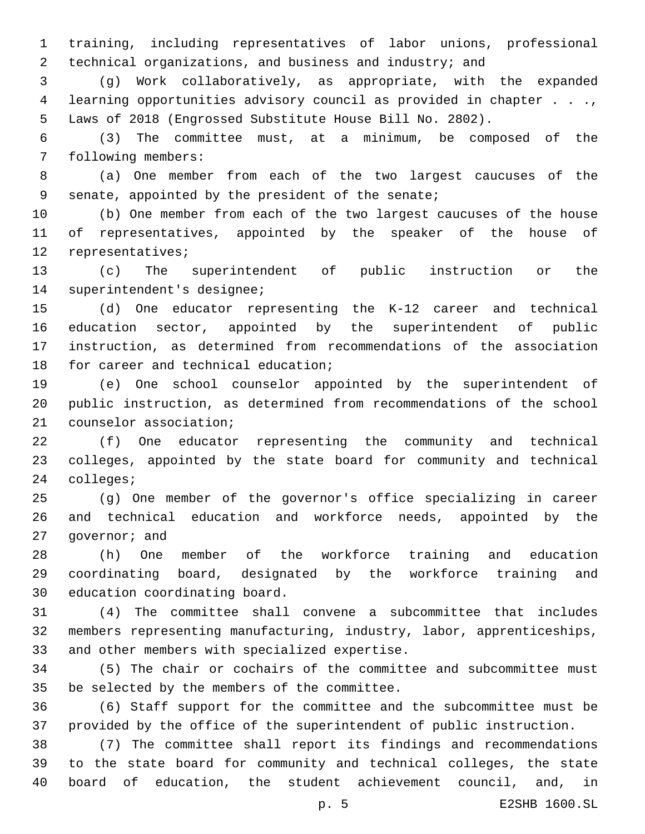training, including representatives of labor unions, professional technical organizations, and business and industry; and

 (g) Work collaboratively, as appropriate, with the expanded learning opportunities advisory council as provided in chapter . . ., Laws of 2018 (Engrossed Substitute House Bill No. 2802).

 (3) The committee must, at a minimum, be composed of the 7 following members:

 (a) One member from each of the two largest caucuses of the 9 senate, appointed by the president of the senate;

 (b) One member from each of the two largest caucuses of the house of representatives, appointed by the speaker of the house of 12 representatives;

 (c) The superintendent of public instruction or the 14 superintendent's designee;

 (d) One educator representing the K-12 career and technical education sector, appointed by the superintendent of public instruction, as determined from recommendations of the association 18 for career and technical education;

 (e) One school counselor appointed by the superintendent of public instruction, as determined from recommendations of the school 21 counselor association;

 (f) One educator representing the community and technical colleges, appointed by the state board for community and technical 24 colleges;

 (g) One member of the governor's office specializing in career and technical education and workforce needs, appointed by the 27 qovernor; and

 (h) One member of the workforce training and education coordinating board, designated by the workforce training and 30 education coordinating board.

 (4) The committee shall convene a subcommittee that includes members representing manufacturing, industry, labor, apprenticeships, 33 and other members with specialized expertise.

 (5) The chair or cochairs of the committee and subcommittee must 35 be selected by the members of the committee.

 (6) Staff support for the committee and the subcommittee must be provided by the office of the superintendent of public instruction.

 (7) The committee shall report its findings and recommendations to the state board for community and technical colleges, the state board of education, the student achievement council, and, in

p. 5 E2SHB 1600.SL